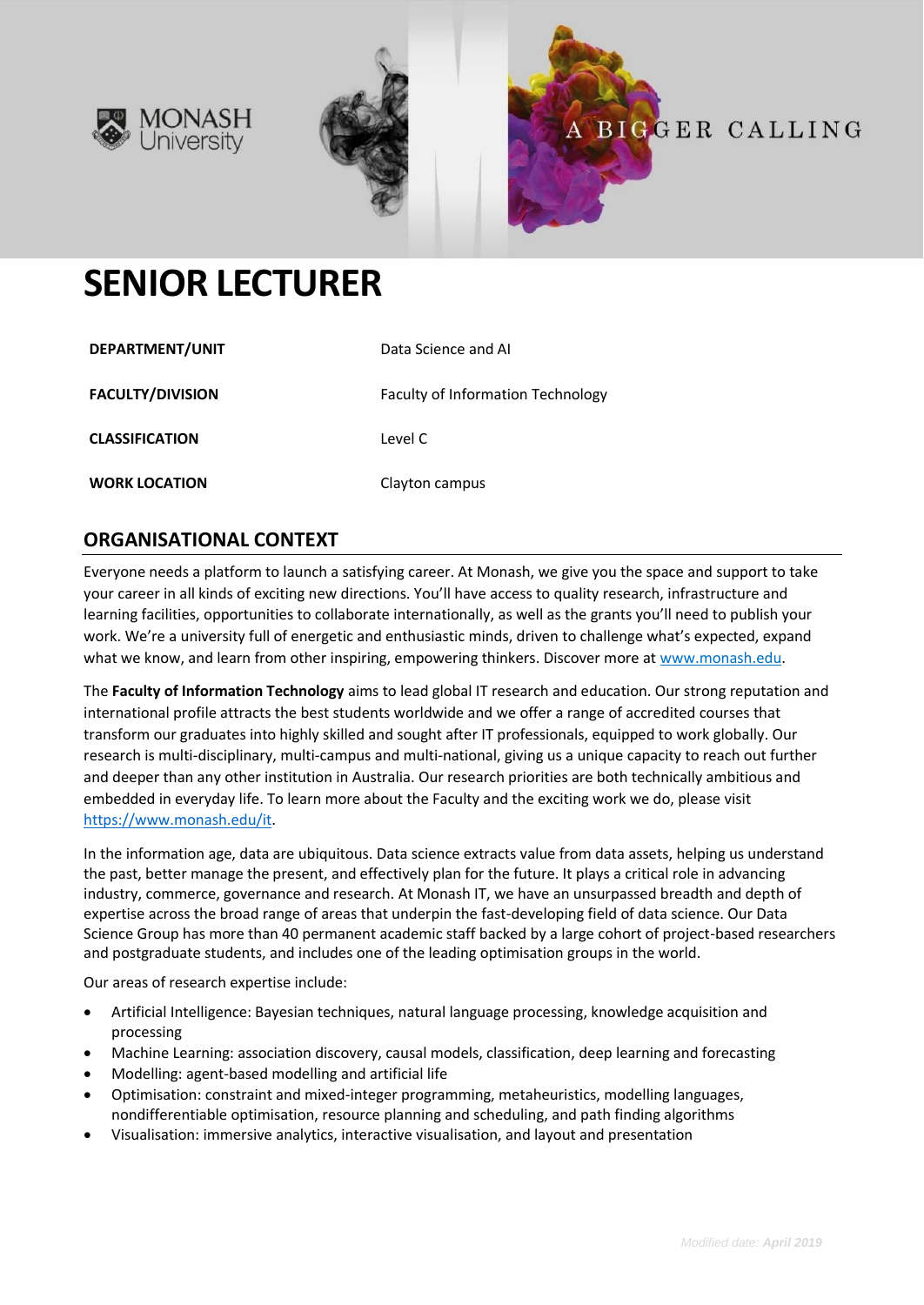





# **SENIOR LECTURER**

| DEPARTMENT/UNIT         | Data Science and AI                      |
|-------------------------|------------------------------------------|
| <b>FACULTY/DIVISION</b> | <b>Faculty of Information Technology</b> |
| <b>CLASSIFICATION</b>   | Level C                                  |
| <b>WORK LOCATION</b>    | Clayton campus                           |

# **ORGANISATIONAL CONTEXT**

Everyone needs a platform to launch a satisfying career. At Monash, we give you the space and support to take your career in all kinds of exciting new directions. You'll have access to quality research, infrastructure and learning facilities, opportunities to collaborate internationally, as well as the grants you'll need to publish your work. We're a university full of energetic and enthusiastic minds, driven to challenge what's expected, expand what we know, and learn from other inspiring, empowering thinkers. Discover more a[t www.monash.edu.](http://www.monash.edu/)

The **Faculty of Information Technology** aims to lead global IT research and education. Our strong reputation and international profile attracts the best students worldwide and we offer a range of accredited courses that transform our graduates into highly skilled and sought after IT professionals, equipped to work globally. Our research is multi-disciplinary, multi-campus and multi-national, giving us a unique capacity to reach out further and deeper than any other institution in Australia. Our research priorities are both technically ambitious and embedded in everyday life. To learn more about the Faculty and the exciting work we do, please visit [https://www.monash.edu/it.](https://www.monash.edu/it)

In the information age, data are ubiquitous. Data science extracts value from data assets, helping us understand the past, better manage the present, and effectively plan for the future. It plays a critical role in advancing industry, commerce, governance and research. At Monash IT, we have an unsurpassed breadth and depth of expertise across the broad range of areas that underpin the fast-developing field of data science. Our Data Science Group has more than 40 permanent academic staff backed by a large cohort of project-based researchers and postgraduate students, and includes one of the leading optimisation groups in the world.

Our areas of research expertise include:

- Artificial Intelligence: Bayesian techniques, natural language processing, knowledge acquisition and processing
- Machine Learning: association discovery, causal models, classification, deep learning and forecasting
- Modelling: agent-based modelling and artificial life
- Optimisation: constraint and mixed-integer programming, metaheuristics, modelling languages, nondifferentiable optimisation, resource planning and scheduling, and path finding algorithms
- Visualisation: immersive analytics, interactive visualisation, and layout and presentation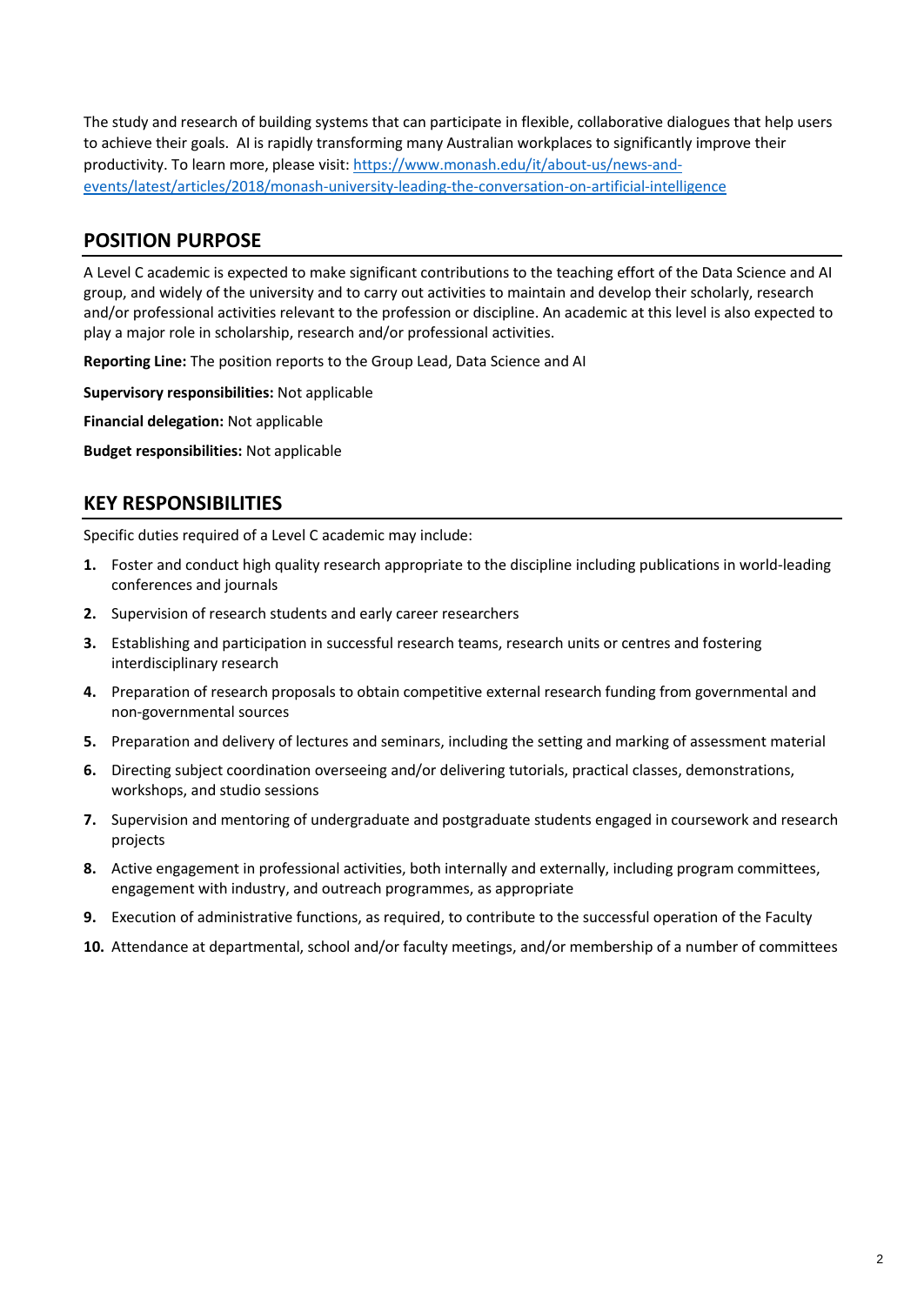The study and research of building systems that can participate in flexible, collaborative dialogues that help users to achieve their goals. AI is rapidly transforming many Australian workplaces to significantly improve their productivity. To learn more, please visit: [https://www.monash.edu/it/about-us/news-and](https://www.monash.edu/it/about-us/news-and-events/latest/articles/2018/monash-university-leading-the-conversation-on-artificial-intelligence)[events/latest/articles/2018/monash-university-leading-the-conversation-on-artificial-intelligence](https://www.monash.edu/it/about-us/news-and-events/latest/articles/2018/monash-university-leading-the-conversation-on-artificial-intelligence)

# **POSITION PURPOSE**

A Level C academic is expected to make significant contributions to the teaching effort of the Data Science and AI group, and widely of the university and to carry out activities to maintain and develop their scholarly, research and/or professional activities relevant to the profession or discipline. An academic at this level is also expected to play a major role in scholarship, research and/or professional activities.

**Reporting Line:** The position reports to the Group Lead, Data Science and AI

**Supervisory responsibilities:** Not applicable

**Financial delegation:** Not applicable

**Budget responsibilities:** Not applicable

# **KEY RESPONSIBILITIES**

Specific duties required of a Level C academic may include:

- **1.** Foster and conduct high quality research appropriate to the discipline including publications in world-leading conferences and journals
- **2.** Supervision of research students and early career researchers
- **3.** Establishing and participation in successful research teams, research units or centres and fostering interdisciplinary research
- **4.** Preparation of research proposals to obtain competitive external research funding from governmental and non-governmental sources
- **5.** Preparation and delivery of lectures and seminars, including the setting and marking of assessment material
- **6.** Directing subject coordination overseeing and/or delivering tutorials, practical classes, demonstrations, workshops, and studio sessions
- **7.** Supervision and mentoring of undergraduate and postgraduate students engaged in coursework and research projects
- **8.** Active engagement in professional activities, both internally and externally, including program committees, engagement with industry, and outreach programmes, as appropriate
- **9.** Execution of administrative functions, as required, to contribute to the successful operation of the Faculty
- **10.** Attendance at departmental, school and/or faculty meetings, and/or membership of a number of committees